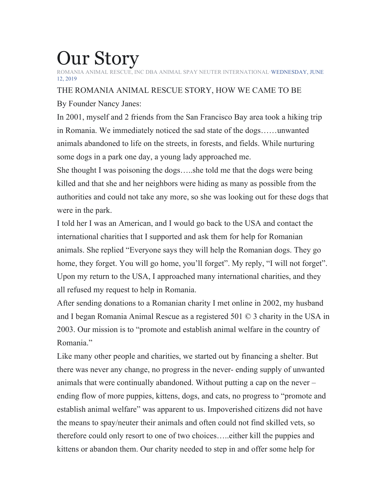## Our Story

RESCUE, INC DBA ANIMAL SPAY NEUTER INTERNATIONAL·WEDNESDAY, JUNE 12, 2019

## THE ROMANIA ANIMAL RESCUE STORY, HOW WE CAME TO BE

By Founder Nancy Janes:

In 2001, myself and 2 friends from the San Francisco Bay area took a hiking trip in Romania. We immediately noticed the sad state of the dogs……unwanted animals abandoned to life on the streets, in forests, and fields. While nurturing some dogs in a park one day, a young lady approached me.

She thought I was poisoning the dogs…..she told me that the dogs were being killed and that she and her neighbors were hiding as many as possible from the authorities and could not take any more, so she was looking out for these dogs that were in the park.

I told her I was an American, and I would go back to the USA and contact the international charities that I supported and ask them for help for Romanian animals. She replied "Everyone says they will help the Romanian dogs. They go home, they forget. You will go home, you'll forget". My reply, "I will not forget". Upon my return to the USA, I approached many international charities, and they all refused my request to help in Romania.

After sending donations to a Romanian charity I met online in 2002, my husband and I began Romania Animal Rescue as a registered 501 © 3 charity in the USA in 2003. Our mission is to "promote and establish animal welfare in the country of Romania<sup>"</sup>

Like many other people and charities, we started out by financing a shelter. But there was never any change, no progress in the never- ending supply of unwanted animals that were continually abandoned. Without putting a cap on the never – ending flow of more puppies, kittens, dogs, and cats, no progress to "promote and establish animal welfare" was apparent to us. Impoverished citizens did not have the means to spay/neuter their animals and often could not find skilled vets, so therefore could only resort to one of two choices…..either kill the puppies and kittens or abandon them. Our charity needed to step in and offer some help for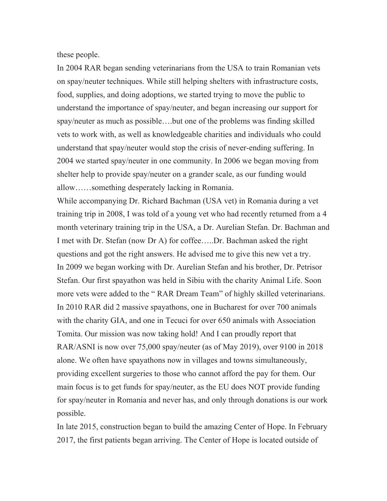these people.

In 2004 RAR began sending veterinarians from the USA to train Romanian vets on spay/neuter techniques. While still helping shelters with infrastructure costs, food, supplies, and doing adoptions, we started trying to move the public to understand the importance of spay/neuter, and began increasing our support for spay/neuter as much as possible....but one of the problems was finding skilled vets to work with, as well as knowledgeable charities and individuals who could understand that spay/neuter would stop the crisis of never-ending suffering. In 2004 we started spay/neuter in one community. In 2006 we began moving from shelter help to provide spay/neuter on a grander scale, as our funding would allow……something desperately lacking in Romania.

While accompanying Dr. Richard Bachman (USA vet) in Romania during a vet training trip in 2008, I was told of a young vet who had recently returned from a 4 month veterinary training trip in the USA, a Dr. Aurelian Stefan. Dr. Bachman and I met with Dr. Stefan (now Dr A) for coffee…..Dr. Bachman asked the right questions and got the right answers. He advised me to give this new vet a try. In 2009 we began working with Dr. Aurelian Stefan and his brother, Dr. Petrisor Stefan. Our first spayathon was held in Sibiu with the charity Animal Life. Soon more vets were added to the " RAR Dream Team" of highly skilled veterinarians. In 2010 RAR did 2 massive spayathons, one in Bucharest for over 700 animals with the charity GIA, and one in Tecuci for over 650 animals with Association Tomita. Our mission was now taking hold! And I can proudly report that RAR/ASNI is now over 75,000 spay/neuter (as of May 2019), over 9100 in 2018 alone. We often have spayathons now in villages and towns simultaneously, providing excellent surgeries to those who cannot afford the pay for them. Our main focus is to get funds for spay/neuter, as the EU does NOT provide funding for spay/neuter in Romania and never has, and only through donations is our work possible.

In late 2015, construction began to build the amazing Center of Hope. In February 2017, the first patients began arriving. The Center of Hope is located outside of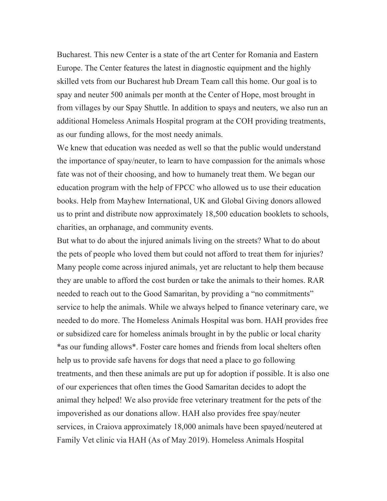Bucharest. This new Center is a state of the art Center for Romania and Eastern Europe. The Center features the latest in diagnostic equipment and the highly skilled vets from our Bucharest hub Dream Team call this home. Our goal is to spay and neuter 500 animals per month at the Center of Hope, most brought in from villages by our Spay Shuttle. In addition to spays and neuters, we also run an additional Homeless Animals Hospital program at the COH providing treatments, as our funding allows, for the most needy animals.

We knew that education was needed as well so that the public would understand the importance of spay/neuter, to learn to have compassion for the animals whose fate was not of their choosing, and how to humanely treat them. We began our education program with the help of FPCC who allowed us to use their education books. Help from Mayhew International, UK and Global Giving donors allowed us to print and distribute now approximately 18,500 education booklets to schools, charities, an orphanage, and community events.

But what to do about the injured animals living on the streets? What to do about the pets of people who loved them but could not afford to treat them for injuries? Many people come across injured animals, yet are reluctant to help them because they are unable to afford the cost burden or take the animals to their homes. RAR needed to reach out to the Good Samaritan, by providing a "no commitments" service to help the animals. While we always helped to finance veterinary care, we needed to do more. The Homeless Animals Hospital was born. HAH provides free or subsidized care for homeless animals brought in by the public or local charity \*as our funding allows\*. Foster care homes and friends from local shelters often help us to provide safe havens for dogs that need a place to go following treatments, and then these animals are put up for adoption if possible. It is also one of our experiences that often times the Good Samaritan decides to adopt the animal they helped! We also provide free veterinary treatment for the pets of the impoverished as our donations allow. HAH also provides free spay/neuter services, in Craiova approximately 18,000 animals have been spayed/neutered at Family Vet clinic via HAH (As of May 2019). Homeless Animals Hospital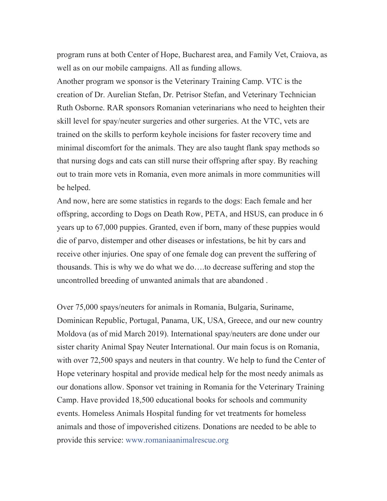program runs at both Center of Hope, Bucharest area, and Family Vet, Craiova, as well as on our mobile campaigns. All as funding allows.

Another program we sponsor is the Veterinary Training Camp. VTC is the creation of Dr. Aurelian Stefan, Dr. Petrisor Stefan, and Veterinary Technician Ruth Osborne. RAR sponsors Romanian veterinarians who need to heighten their skill level for spay/neuter surgeries and other surgeries. At the VTC, vets are trained on the skills to perform keyhole incisions for faster recovery time and minimal discomfort for the animals. They are also taught flank spay methods so that nursing dogs and cats can still nurse their offspring after spay. By reaching out to train more vets in Romania, even more animals in more communities will be helped.

And now, here are some statistics in regards to the dogs: Each female and her offspring, according to Dogs on Death Row, PETA, and HSUS, can produce in 6 years up to 67,000 puppies. Granted, even if born, many of these puppies would die of parvo, distemper and other diseases or infestations, be hit by cars and receive other injuries. One spay of one female dog can prevent the suffering of thousands. This is why we do what we do….to decrease suffering and stop the uncontrolled breeding of unwanted animals that are abandoned .

Over 75,000 spays/neuters for animals in Romania, Bulgaria, Suriname, Dominican Republic, Portugal, Panama, UK, USA, Greece, and our new country Moldova (as of mid March 2019). International spay/neuters are done under our sister charity Animal Spay Neuter International. Our main focus is on Romania, with over 72,500 spays and neuters in that country. We help to fund the Center of Hope veterinary hospital and provide medical help for the most needy animals as our donations allow. Sponsor vet training in Romania for the Veterinary Training Camp. Have provided 18,500 educational books for schools and community events. Homeless Animals Hospital funding for vet treatments for homeless animals and those of impoverished citizens. Donations are needed to be able to provide this service: www.romaniaanimalrescue.org